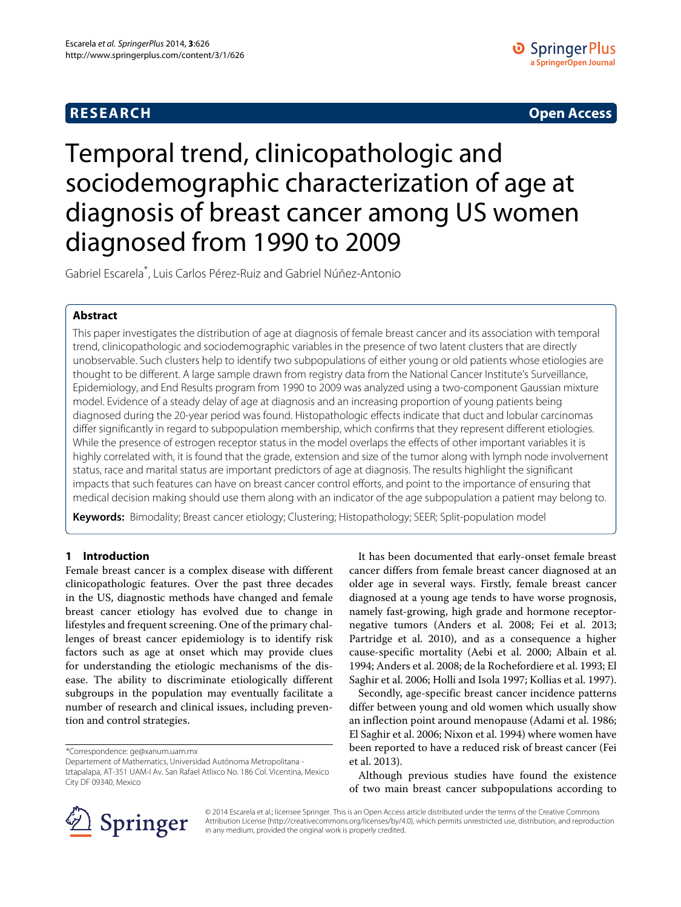**RESEARCH Open Access**

# Temporal trend, clinicopathologic and sociodemographic characterization of age at diagnosis of breast cancer among US women diagnosed from 1990 to 2009

Gabriel Escarela\* , Luis Carlos Pérez-Ruiz and Gabriel Núñez-Antonio

# **Abstract**

This paper investigates the distribution of age at diagnosis of female breast cancer and its association with temporal trend, clinicopathologic and sociodemographic variables in the presence of two latent clusters that are directly unobservable. Such clusters help to identify two subpopulations of either young or old patients whose etiologies are thought to be different. A large sample drawn from registry data from the National Cancer Institute's Surveillance, Epidemiology, and End Results program from 1990 to 2009 was analyzed using a two-component Gaussian mixture model. Evidence of a steady delay of age at diagnosis and an increasing proportion of young patients being diagnosed during the 20-year period was found. Histopathologic effects indicate that duct and lobular carcinomas differ significantly in regard to subpopulation membership, which confirms that they represent different etiologies. While the presence of estrogen receptor status in the model overlaps the effects of other important variables it is highly correlated with, it is found that the grade, extension and size of the tumor along with lymph node involvement status, race and marital status are important predictors of age at diagnosis. The results highlight the significant impacts that such features can have on breast cancer control efforts, and point to the importance of ensuring that medical decision making should use them along with an indicator of the age subpopulation a patient may belong to.

**Keywords:** Bimodality; Breast cancer etiology; Clustering; Histopathology; SEER; Split-population model

# **1 Introduction**

Female breast cancer is a complex disease with different clinicopathologic features. Over the past three decades in the US, diagnostic methods have changed and female breast cancer etiology has evolved due to change in lifestyles and frequent screening. One of the primary challenges of breast cancer epidemiology is to identify risk factors such as age at onset which may provide clues for understanding the etiologic mechanisms of the disease. The ability to discriminate etiologically different subgroups in the population may eventually facilitate a number of research and clinical issues, including prevention and control strategies.

\*Correspondence: [ge@xanum.uam.mx](mailto: ge@xanum.uam.mx)

Departement of Mathematics, Universidad Autónoma Metropolitana -

Iztapalapa, AT-351 UAM-I Av. San Rafael Atlixco No. 186 Col. Vicentina, Mexico City DF 09340, Mexico

It has been documented that early-onset female breast cancer differs from female breast cancer diagnosed at an older age in several ways. Firstly, female breast cancer diagnosed at a young age tends to have worse prognosis, namely fast-growing, high grade and hormone receptornegative tumors (Anders et al. [2008;](#page-5-0) Fei et al. [2013;](#page-5-1) Partridge et al. [2010\)](#page-5-2), and as a consequence a higher cause-specific mortality (Aebi et al. [2000;](#page-5-3) Albain et al. [1994;](#page-5-4) Anders et al. [2008;](#page-5-0) de la Rochefordiere et al. [1993;](#page-5-5) El Saghir et al. [2006;](#page-5-6) Holli and Isola [1997;](#page-5-7) Kollias et al. [1997\)](#page-5-8).

Secondly, age-specific breast cancer incidence patterns differ between young and old women which usually show an inflection point around menopause (Adami et al. [1986;](#page-5-9) El Saghir et al. [2006;](#page-5-6) Nixon et al. [1994\)](#page-5-10) where women have been reported to have a reduced risk of breast cancer (Fei et al. [2013\)](#page-5-1).

Although previous studies have found the existence of two main breast cancer subpopulations according to



© 2014 Escarela et al.; licensee Springer. This is an Open Access article distributed under the terms of the Creative Commons Attribution License [\(http://creativecommons.org/licenses/by/4.0\)](http://creativecommons.org/licenses/by/4.0), which permits unrestricted use, distribution, and reproduction in any medium, provided the original work is properly credited.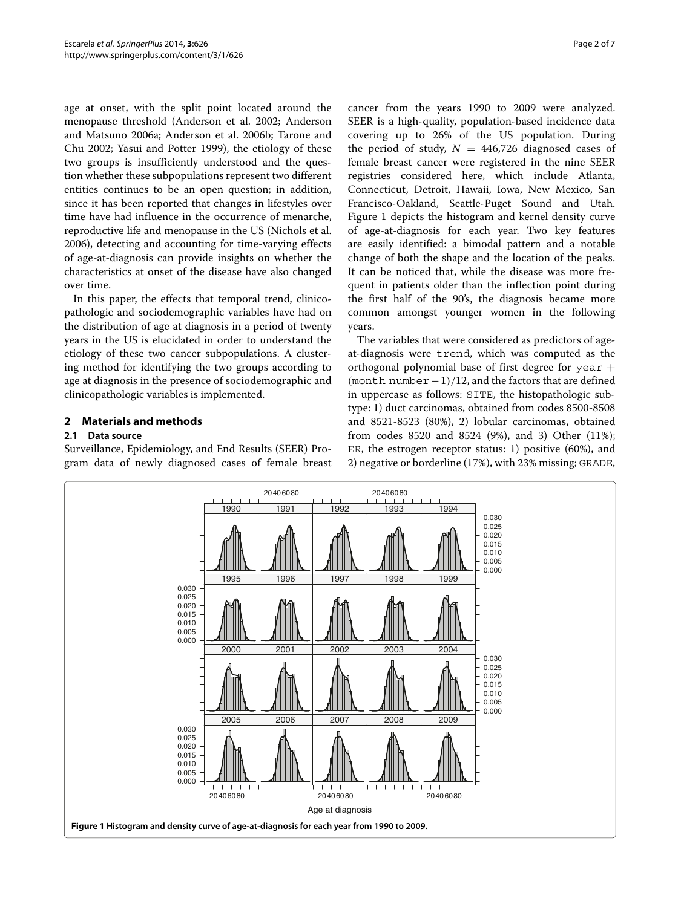age at onset, with the split point located around the menopause threshold (Anderson et al. [2002;](#page-5-11) Anderson and Matsuno [2006a;](#page-5-12) Anderson et al. [2006b;](#page-5-13) Tarone and Chu [2002;](#page-6-0) Yasui and Potter [1999\)](#page-6-1), the etiology of these two groups is insufficiently understood and the question whether these subpopulations represent two different entities continues to be an open question; in addition, since it has been reported that changes in lifestyles over time have had influence in the occurrence of menarche, reproductive life and menopause in the US (Nichols et al. [2006\)](#page-5-14), detecting and accounting for time-varying effects of age-at-diagnosis can provide insights on whether the characteristics at onset of the disease have also changed over time.

In this paper, the effects that temporal trend, clinicopathologic and sociodemographic variables have had on the distribution of age at diagnosis in a period of twenty years in the US is elucidated in order to understand the etiology of these two cancer subpopulations. A clustering method for identifying the two groups according to age at diagnosis in the presence of sociodemographic and clinicopathologic variables is implemented.

# **2 Materials and methods**

# **2.1 Data source**

Surveillance, Epidemiology, and End Results (SEER) Program data of newly diagnosed cases of female breast cancer from the years 1990 to 2009 were analyzed. SEER is a high-quality, population-based incidence data covering up to 26% of the US population. During the period of study,  $N = 446,726$  diagnosed cases of female breast cancer were registered in the nine SEER registries considered here, which include Atlanta, Connecticut, Detroit, Hawaii, Iowa, New Mexico, San Francisco-Oakland, Seattle-Puget Sound and Utah. Figure [1](#page-1-0) depicts the histogram and kernel density curve of age-at-diagnosis for each year. Two key features are easily identified: a bimodal pattern and a notable change of both the shape and the location of the peaks. It can be noticed that, while the disease was more frequent in patients older than the inflection point during the first half of the 90's, the diagnosis became more common amongst younger women in the following years.

The variables that were considered as predictors of ageat-diagnosis were trend, which was computed as the orthogonal polynomial base of first degree for year  $+$ (month number−1)/12, and the factors that are defined in uppercase as follows: SITE, the histopathologic subtype: 1) duct carcinomas, obtained from codes 8500-8508 and 8521-8523 (80%), 2) lobular carcinomas, obtained from codes 8520 and 8524 (9%), and 3) Other (11%); ER, the estrogen receptor status: 1) positive (60%), and 2) negative or borderline (17%), with 23% missing; GRADE,

<span id="page-1-0"></span>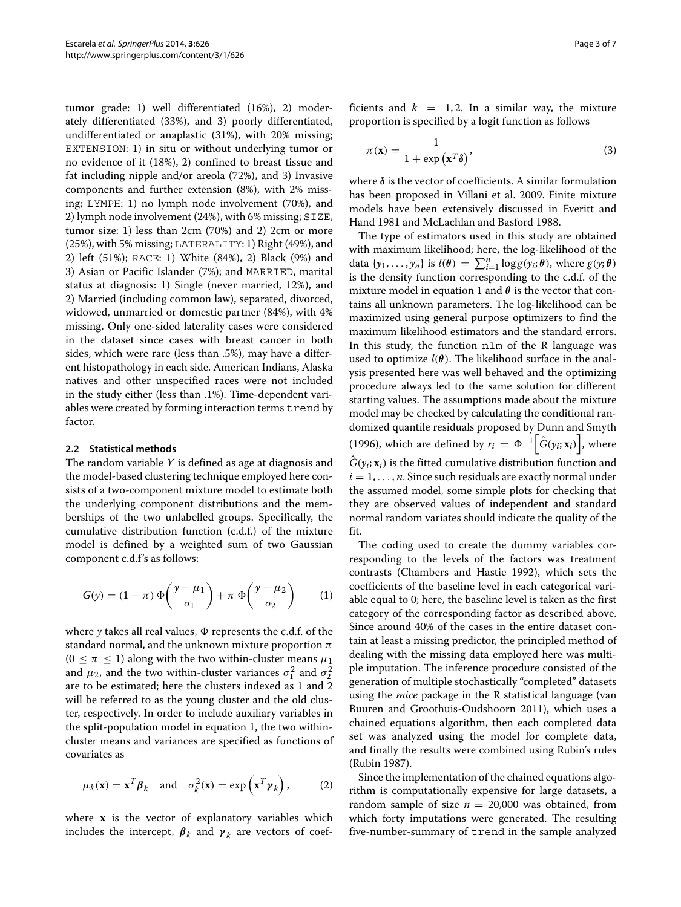tumor grade: 1) well differentiated (16%), 2) moderately differentiated (33%), and 3) poorly differentiated, undifferentiated or anaplastic (31%), with 20% missing; EXTENSION: 1) in situ or without underlying tumor or no evidence of it (18%), 2) confined to breast tissue and fat including nipple and/or areola (72%), and 3) Invasive components and further extension (8%), with 2% missing; LYMPH: 1) no lymph node involvement (70%), and 2) lymph node involvement (24%), with 6% missing; SIZE, tumor size: 1) less than 2cm (70%) and 2) 2cm or more (25%), with 5% missing; LATERALITY: 1) Right (49%), and 2) left (51%); RACE: 1) White (84%), 2) Black (9%) and 3) Asian or Pacific Islander (7%); and MARRIED, marital status at diagnosis: 1) Single (never married, 12%), and 2) Married (including common law), separated, divorced, widowed, unmarried or domestic partner (84%), with 4% missing. Only one-sided laterality cases were considered in the dataset since cases with breast cancer in both sides, which were rare (less than .5%), may have a different histopathology in each side. American Indians, Alaska natives and other unspecified races were not included in the study either (less than .1%). Time-dependent variables were created by forming interaction terms trend by factor.

#### **2.2 Statistical methods**

The random variable *Y* is defined as age at diagnosis and the model-based clustering technique employed here consists of a two-component mixture model to estimate both the underlying component distributions and the memberships of the two unlabelled groups. Specifically, the cumulative distribution function (c.d.f.) of the mixture model is defined by a weighted sum of two Gaussian component c.d.f's as follows:

<span id="page-2-0"></span>
$$
G(y) = (1 - \pi) \Phi\left(\frac{y - \mu_1}{\sigma_1}\right) + \pi \Phi\left(\frac{y - \mu_2}{\sigma_2}\right) \tag{1}
$$

where  $\gamma$  takes all real values,  $\Phi$  represents the c.d.f. of the standard normal, and the unknown mixture proportion  $\pi$  $(0 \leq \pi \leq 1)$  along with the two within-cluster means  $\mu_1$ and  $\mu_2$ , and the two within-cluster variances  $\sigma_1^2$  and  $\sigma_2^2$ are to be estimated; here the clusters indexed as 1 and 2 will be referred to as the young cluster and the old cluster, respectively. In order to include auxiliary variables in the split-population model in equation [1,](#page-2-0) the two withincluster means and variances are specified as functions of covariates as

$$
\mu_k(\mathbf{x}) = \mathbf{x}^T \boldsymbol{\beta}_k \text{ and } \sigma_k^2(\mathbf{x}) = \exp\left(\mathbf{x}^T \boldsymbol{\gamma}_k\right),
$$
 (2)

where **x** is the vector of explanatory variables which includes the intercept,  $\beta_k$  and  $\gamma_k$  are vectors of coefficients and  $k = 1, 2$ . In a similar way, the mixture proportion is specified by a logit function as follows

<span id="page-2-1"></span>
$$
\pi(\mathbf{x}) = \frac{1}{1 + \exp\left(\mathbf{x}^T \boldsymbol{\delta}\right)},\tag{3}
$$

where *δ* is the vector of coefficients. A similar formulation has been proposed in Villani et al. [2009.](#page-6-2) Finite mixture models have been extensively discussed in Everitt and Hand [1981](#page-5-15) and McLachlan and Basford [1988.](#page-5-16)

The type of estimators used in this study are obtained with maximum likelihood; here, the log-likelihood of the data  $\{y_1, \ldots, y_n\}$  is  $l(\theta) = \sum_{i=1}^n \log g(y_i; \theta)$ , where  $g(y; \theta)$ is the density function corresponding to the c.d.f. of the mixture model in equation [1](#page-2-0) and  $\theta$  is the vector that contains all unknown parameters. The log-likelihood can be maximized using general purpose optimizers to find the maximum likelihood estimators and the standard errors. In this study, the function nlm of the R language was used to optimize  $l(\theta)$ . The likelihood surface in the analysis presented here was well behaved and the optimizing procedure always led to the same solution for different starting values. The assumptions made about the mixture model may be checked by calculating the conditional randomized quantile residuals proposed by Dunn and Smyth [\(1996\)](#page-5-17), which are defined by  $r_i = \Phi^{-1} \left[ \hat{G}(y_i; \mathbf{x}_i) \right]$ , where  $\hat{G}(y_i; \mathbf{x}_i)$  is the fitted cumulative distribution function and  $i = 1, \ldots, n$ . Since such residuals are exactly normal under the assumed model, some simple plots for checking that they are observed values of independent and standard normal random variates should indicate the quality of the fit.

The coding used to create the dummy variables corresponding to the levels of the factors was treatment contrasts (Chambers and Hastie [1992\)](#page-5-18), which sets the coefficients of the baseline level in each categorical variable equal to 0; here, the baseline level is taken as the first category of the corresponding factor as described above. Since around 40% of the cases in the entire dataset contain at least a missing predictor, the principled method of dealing with the missing data employed here was multiple imputation. The inference procedure consisted of the generation of multiple stochastically "completed" datasets using the *mice* package in the R statistical language (van Buuren and Groothuis-Oudshoorn [2011\)](#page-6-3), which uses a chained equations algorithm, then each completed data set was analyzed using the model for complete data, and finally the results were combined using Rubin's rules (Rubin [1987\)](#page-6-4).

Since the implementation of the chained equations algorithm is computationally expensive for large datasets, a random sample of size  $n = 20,000$  was obtained, from which forty imputations were generated. The resulting five-number-summary of trend in the sample analyzed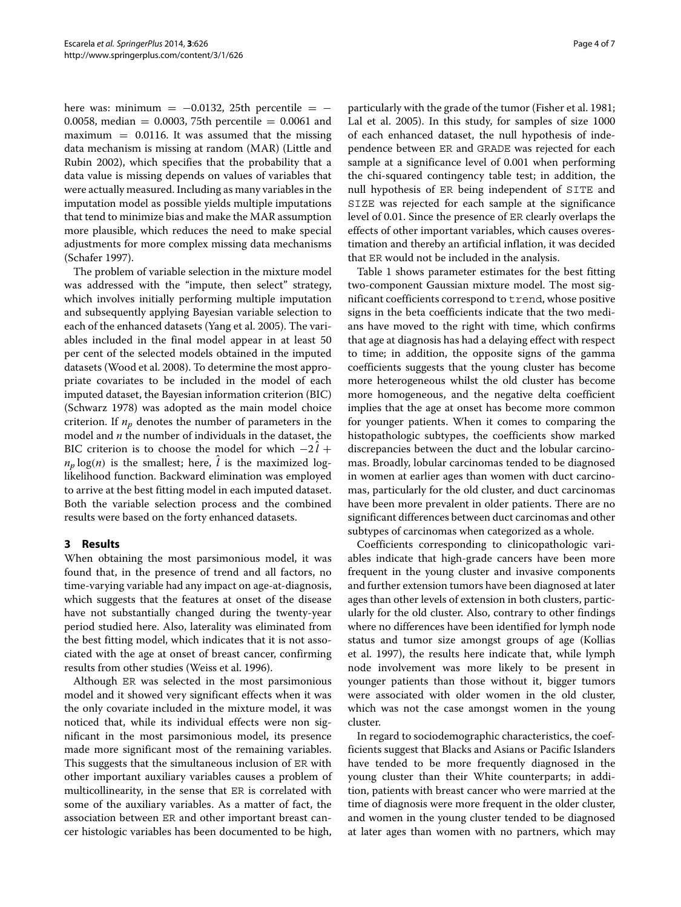here was: minimum =  $-0.0132$ , 25th percentile =  $-$ 0.0058, median = 0.0003, 75th percentile =  $0.0061$  and maximum  $= 0.0116$ . It was assumed that the missing data mechanism is missing at random (MAR) (Little and Rubin [2002\)](#page-5-19), which specifies that the probability that a data value is missing depends on values of variables that were actually measured. Including as many variables in the imputation model as possible yields multiple imputations that tend to minimize bias and make the MAR assumption more plausible, which reduces the need to make special adjustments for more complex missing data mechanisms (Schafer [1997\)](#page-6-5).

The problem of variable selection in the mixture model was addressed with the "impute, then select" strategy, which involves initially performing multiple imputation and subsequently applying Bayesian variable selection to each of the enhanced datasets (Yang et al. [2005\)](#page-6-6). The variables included in the final model appear in at least 50 per cent of the selected models obtained in the imputed datasets (Wood et al. [2008\)](#page-6-7). To determine the most appropriate covariates to be included in the model of each imputed dataset, the Bayesian information criterion (BIC) (Schwarz [1978\)](#page-6-8) was adopted as the main model choice criterion. If  $n_p$  denotes the number of parameters in the model and *n* the number of individuals in the dataset, the BIC criterion is to choose the model for which  $-2l +$  $n_p \log(n)$  is the smallest; here, *l* is the maximized loglikelihood function. Backward elimination was employed to arrive at the best fitting model in each imputed dataset. Both the variable selection process and the combined results were based on the forty enhanced datasets.

# **3 Results**

When obtaining the most parsimonious model, it was found that, in the presence of trend and all factors, no time-varying variable had any impact on age-at-diagnosis, which suggests that the features at onset of the disease have not substantially changed during the twenty-year period studied here. Also, laterality was eliminated from the best fitting model, which indicates that it is not associated with the age at onset of breast cancer, confirming results from other studies (Weiss et al. [1996\)](#page-6-9).

Although ER was selected in the most parsimonious model and it showed very significant effects when it was the only covariate included in the mixture model, it was noticed that, while its individual effects were non significant in the most parsimonious model, its presence made more significant most of the remaining variables. This suggests that the simultaneous inclusion of ER with other important auxiliary variables causes a problem of multicollinearity, in the sense that ER is correlated with some of the auxiliary variables. As a matter of fact, the association between ER and other important breast cancer histologic variables has been documented to be high,

particularly with the grade of the tumor (Fisher et al. [1981;](#page-5-20) Lal et al. [2005\)](#page-5-21). In this study, for samples of size 1000 of each enhanced dataset, the null hypothesis of independence between ER and GRADE was rejected for each sample at a significance level of 0.001 when performing the chi-squared contingency table test; in addition, the null hypothesis of ER being independent of SITE and SIZE was rejected for each sample at the significance level of 0.01. Since the presence of ER clearly overlaps the effects of other important variables, which causes overestimation and thereby an artificial inflation, it was decided that ER would not be included in the analysis.

Table [1](#page-4-0) shows parameter estimates for the best fitting two-component Gaussian mixture model. The most significant coefficients correspond to trend, whose positive signs in the beta coefficients indicate that the two medians have moved to the right with time, which confirms that age at diagnosis has had a delaying effect with respect to time; in addition, the opposite signs of the gamma coefficients suggests that the young cluster has become more heterogeneous whilst the old cluster has become more homogeneous, and the negative delta coefficient implies that the age at onset has become more common for younger patients. When it comes to comparing the histopathologic subtypes, the coefficients show marked discrepancies between the duct and the lobular carcinomas. Broadly, lobular carcinomas tended to be diagnosed in women at earlier ages than women with duct carcinomas, particularly for the old cluster, and duct carcinomas have been more prevalent in older patients. There are no significant differences between duct carcinomas and other subtypes of carcinomas when categorized as a whole.

Coefficients corresponding to clinicopathologic variables indicate that high-grade cancers have been more frequent in the young cluster and invasive components and further extension tumors have been diagnosed at later ages than other levels of extension in both clusters, particularly for the old cluster. Also, contrary to other findings where no differences have been identified for lymph node status and tumor size amongst groups of age (Kollias et al. [1997\)](#page-5-8), the results here indicate that, while lymph node involvement was more likely to be present in younger patients than those without it, bigger tumors were associated with older women in the old cluster, which was not the case amongst women in the young cluster.

In regard to sociodemographic characteristics, the coefficients suggest that Blacks and Asians or Pacific Islanders have tended to be more frequently diagnosed in the young cluster than their White counterparts; in addition, patients with breast cancer who were married at the time of diagnosis were more frequent in the older cluster, and women in the young cluster tended to be diagnosed at later ages than women with no partners, which may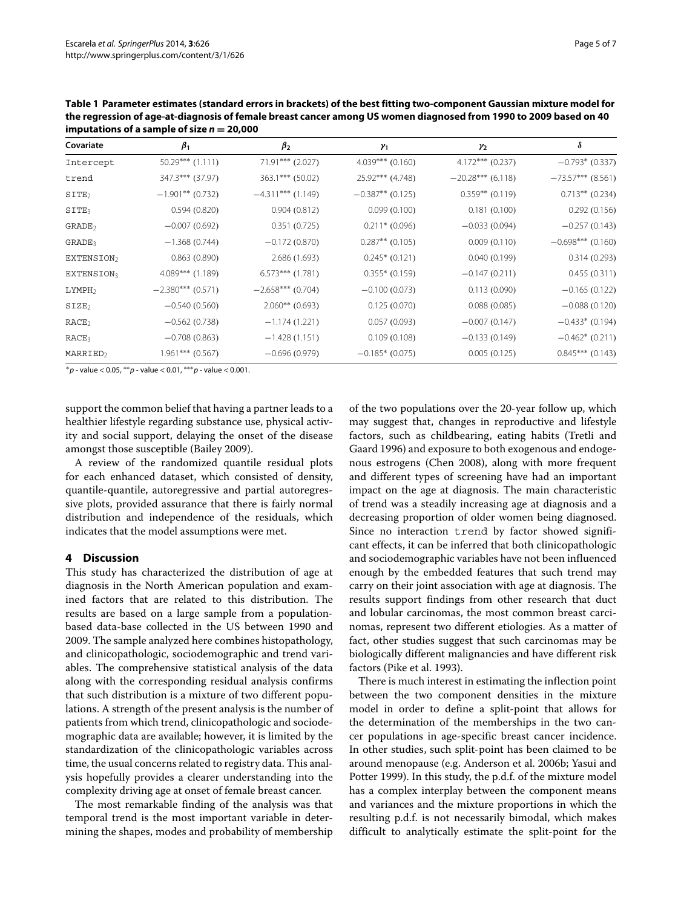<span id="page-4-0"></span>**Table 1 Parameter estimates (standard errors in brackets) of the best fitting two-component Gaussian mixture model for the regression of age-at-diagnosis of female breast cancer among US women diagnosed from 1990 to 2009 based on 40 imputations of a sample of size** *n* **= 20,000**

| Covariate              | $\beta_1$            | $\beta_2$           | $\gamma_1$         | $\gamma_2$          | δ                   |
|------------------------|----------------------|---------------------|--------------------|---------------------|---------------------|
| Intercept              | $50.29***$ (1.111)   | 71.91*** (2.027)    | 4.039*** (0.160)   | 4.172*** (0.237)    | $-0.793*$ (0.337)   |
| trend                  | 347.3*** (37.97)     | 363.1*** (50.02)    | 25.92*** (4.748)   | $-20.28***$ (6.118) | $-73.57***$ (8.561) |
| STTE <sub>2</sub>      | $-1.901**$ (0.732)   | $-4.311***$ (1.149) | $-0.387**$ (0.125) | $0.359**$ (0.119)   | $0.713**$ (0.234)   |
| STTE <sub>3</sub>      | 0.594(0.820)         | 0.904(0.812)        | 0.099(0.100)       | 0.181(0.100)        | 0.292(0.156)        |
| GRADE <sub>2</sub>     | $-0.007(0.692)$      | 0.351(0.725)        | $0.211*$ (0.096)   | $-0.033(0.094)$     | $-0.257(0.143)$     |
| GRADE <sub>3</sub>     | $-1.368(0.744)$      | $-0.172(0.870)$     | $0.287**$ (0.105)  | 0.009(0.110)        | $-0.698***$ (0.160) |
| EXTENSION <sub>2</sub> | 0.863(0.890)         | 2.686 (1.693)       | $0.245*(0.121)$    | 0.040(0.199)        | 0.314(0.293)        |
| EXTENSION3             | $4.089***$ $(1.189)$ | $6.573***$ (1.781)  | $0.355*$ (0.159)   | $-0.147(0.211)$     | 0.455(0.311)        |
| LYMPH <sub>2</sub>     | $-2.380***$ (0.571)  | $-2.658***$ (0.704) | $-0.100(0.073)$    | 0.113(0.090)        | $-0.165(0.122)$     |
| SIZE <sub>2</sub>      | $-0.540(0.560)$      | $2.060**$ (0.693)   | 0.125(0.070)       | 0.088(0.085)        | $-0.088(0.120)$     |
| RACE <sub>2</sub>      | $-0.562(0.738)$      | $-1.174(1.221)$     | 0.057(0.093)       | $-0.007(0.147)$     | $-0.433*$ (0.194)   |
| RACE <sub>3</sub>      | $-0.708(0.863)$      | $-1.428(1.151)$     | 0.109(0.108)       | $-0.133(0.149)$     | $-0.462*(0.211)$    |
| MARRIED <sub>2</sub>   | 1.961*** (0.567)     | $-0.696(0.979)$     | $-0.185*$ (0.075)  | 0.005(0.125)        | $0.845***$ (0.143)  |

∗*p* - value < 0.05, ∗∗*p* - value < 0.01, ∗∗∗*p* - value < 0.001.

support the common belief that having a partner leads to a healthier lifestyle regarding substance use, physical activity and social support, delaying the onset of the disease amongst those susceptible (Bailey [2009\)](#page-5-22).

A review of the randomized quantile residual plots for each enhanced dataset, which consisted of density, quantile-quantile, autoregressive and partial autoregressive plots, provided assurance that there is fairly normal distribution and independence of the residuals, which indicates that the model assumptions were met.

# **4 Discussion**

This study has characterized the distribution of age at diagnosis in the North American population and examined factors that are related to this distribution. The results are based on a large sample from a populationbased data-base collected in the US between 1990 and 2009. The sample analyzed here combines histopathology, and clinicopathologic, sociodemographic and trend variables. The comprehensive statistical analysis of the data along with the corresponding residual analysis confirms that such distribution is a mixture of two different populations. A strength of the present analysis is the number of patients from which trend, clinicopathologic and sociodemographic data are available; however, it is limited by the standardization of the clinicopathologic variables across time, the usual concerns related to registry data. This analysis hopefully provides a clearer understanding into the complexity driving age at onset of female breast cancer.

The most remarkable finding of the analysis was that temporal trend is the most important variable in determining the shapes, modes and probability of membership

of the two populations over the 20-year follow up, which may suggest that, changes in reproductive and lifestyle factors, such as childbearing, eating habits (Tretli and Gaard [1996\)](#page-6-10) and exposure to both exogenous and endogenous estrogens (Chen [2008\)](#page-5-23), along with more frequent and different types of screening have had an important impact on the age at diagnosis. The main characteristic of trend was a steadily increasing age at diagnosis and a decreasing proportion of older women being diagnosed. Since no interaction trend by factor showed significant effects, it can be inferred that both clinicopathologic and sociodemographic variables have not been influenced enough by the embedded features that such trend may carry on their joint association with age at diagnosis. The results support findings from other research that duct and lobular carcinomas, the most common breast carcinomas, represent two different etiologies. As a matter of fact, other studies suggest that such carcinomas may be biologically different malignancies and have different risk factors (Pike et al. [1993\)](#page-6-11).

There is much interest in estimating the inflection point between the two component densities in the mixture model in order to define a split-point that allows for the determination of the memberships in the two cancer populations in age-specific breast cancer incidence. In other studies, such split-point has been claimed to be around menopause (e.g. Anderson et al. [2006b;](#page-5-13) Yasui and Potter [1999\)](#page-6-1). In this study, the p.d.f. of the mixture model has a complex interplay between the component means and variances and the mixture proportions in which the resulting p.d.f. is not necessarily bimodal, which makes difficult to analytically estimate the split-point for the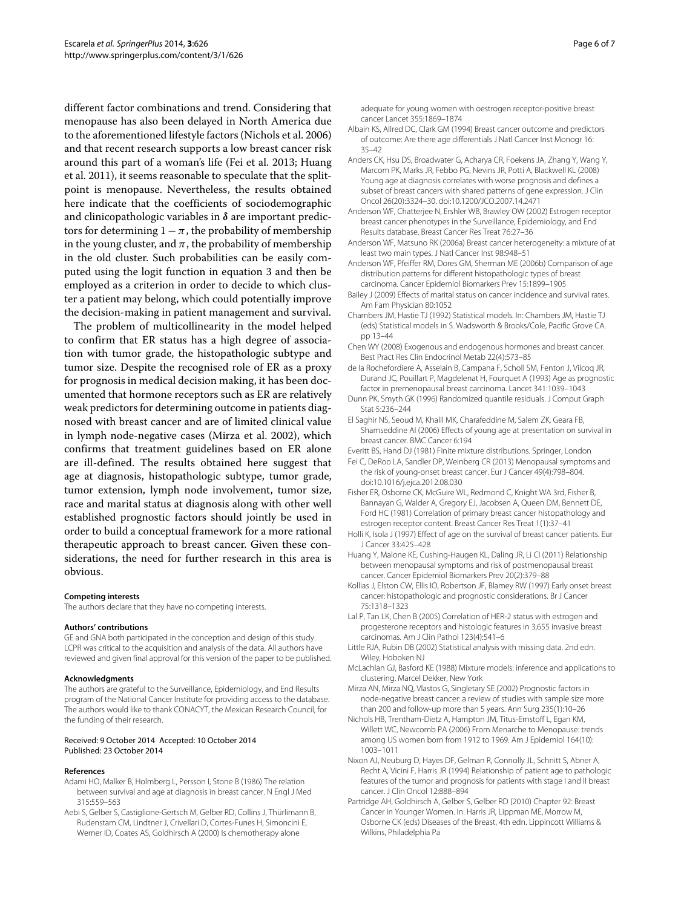different factor combinations and trend. Considering that menopause has also been delayed in North America due to the aforementioned lifestyle factors (Nichols et al. [2006\)](#page-5-14) and that recent research supports a low breast cancer risk around this part of a woman's life (Fei et al. [2013;](#page-5-1) Huang et al. [2011\)](#page-5-24), it seems reasonable to speculate that the splitpoint is menopause. Nevertheless, the results obtained here indicate that the coefficients of sociodemographic and clinicopathologic variables in *δ* are important predictors for determining  $1 - \pi$ , the probability of membership in the young cluster, and  $\pi$ , the probability of membership in the old cluster. Such probabilities can be easily computed using the logit function in equation [3](#page-2-1) and then be employed as a criterion in order to decide to which cluster a patient may belong, which could potentially improve the decision-making in patient management and survival.

The problem of multicollinearity in the model helped to confirm that ER status has a high degree of association with tumor grade, the histopathologic subtype and tumor size. Despite the recognised role of ER as a proxy for prognosis in medical decision making, it has been documented that hormone receptors such as ER are relatively weak predictors for determining outcome in patients diagnosed with breast cancer and are of limited clinical value in lymph node-negative cases (Mirza et al. [2002\)](#page-5-25), which confirms that treatment guidelines based on ER alone are ill-defined. The results obtained here suggest that age at diagnosis, histopathologic subtype, tumor grade, tumor extension, lymph node involvement, tumor size, race and marital status at diagnosis along with other well established prognostic factors should jointly be used in order to build a conceptual framework for a more rational therapeutic approach to breast cancer. Given these considerations, the need for further research in this area is obvious.

#### **Competing interests**

The authors declare that they have no competing interests.

#### **Authors' contributions**

GE and GNA both participated in the conception and design of this study. LCPR was critical to the acquisition and analysis of the data. All authors have reviewed and given final approval for this version of the paper to be published.

#### **Acknowledgments**

The authors are grateful to the Surveillance, Epidemiology, and End Results program of the National Cancer Institute for providing access to the database. The authors would like to thank CONACYT, the Mexican Research Council, for the funding of their research.

#### Received: 9 October 2014 Accepted: 10 October 2014 Published: 23 October 2014

#### **References**

- <span id="page-5-9"></span>Adami HO, Malker B, Holmberg L, Persson I, Stone B (1986) The relation between survival and age at diagnosis in breast cancer. N Engl J Med 315:559–563
- <span id="page-5-3"></span>Aebi S, Gelber S, Castiglione-Gertsch M, Gelber RD, Collins J, Thürlimann B, Rudenstam CM, Lindtner J, Crivellari D, Cortes-Funes H, Simoncini E, Werner ID, Coates AS, Goldhirsch A (2000) Is chemotherapy alone

adequate for young women with oestrogen receptor-positive breast cancer Lancet 355:1869–1874

- <span id="page-5-4"></span>Albain KS, Allred DC, Clark GM (1994) Breast cancer outcome and predictors of outcome: Are there age differentials J Natl Cancer Inst Monogr 16: 35–42
- <span id="page-5-0"></span>Anders CK, Hsu DS, Broadwater G, Acharya CR, Foekens JA, Zhang Y, Wang Y, Marcom PK, Marks JR, Febbo PG, Nevins JR, Potti A, Blackwell KL (2008) Young age at diagnosis correlates with worse prognosis and defines a subset of breast cancers with shared patterns of gene expression. J Clin Oncol 26(20):3324–30. doi:10.1200/JCO.2007.14.2471
- <span id="page-5-11"></span>Anderson WF, Chatterjee N, Ershler WB, Brawley OW (2002) Estrogen receptor breast cancer phenotypes in the Surveillance, Epidemiology, and End Results database. Breast Cancer Res Treat 76:27–36
- <span id="page-5-12"></span>Anderson WF, Matsuno RK (2006a) Breast cancer heterogeneity: a mixture of at least two main types. J Natl Cancer Inst 98:948–51
- <span id="page-5-13"></span>Anderson WF, Pfeiffer RM, Dores GM, Sherman ME (2006b) Comparison of age distribution patterns for different histopathologic types of breast carcinoma. Cancer Epidemiol Biomarkers Prev 15:1899–1905
- <span id="page-5-22"></span>Bailey J (2009) Effects of marital status on cancer incidence and survival rates. Am Fam Physician 80:1052
- <span id="page-5-18"></span>Chambers JM, Hastie TJ (1992) Statistical models. In: Chambers JM, Hastie TJ (eds) Statistical models in S. Wadsworth & Brooks/Cole, Pacific Grove CA. pp 13–44
- <span id="page-5-23"></span>Chen WY (2008) Exogenous and endogenous hormones and breast cancer. Best Pract Res Clin Endocrinol Metab 22(4):573–85
- <span id="page-5-5"></span>de la Rochefordiere A, Asselain B, Campana F, Scholl SM, Fenton J, Vilcoq JR, Durand JC, Pouillart P, Magdelenat H, Fourquet A (1993) Age as prognostic factor in premenopausal breast carcinoma. Lancet 341:1039–1043
- <span id="page-5-17"></span>Dunn PK, Smyth GK (1996) Randomized quantile residuals. J Comput Graph Stat 5:236–244
- <span id="page-5-6"></span>El Saghir NS, Seoud M, Khalil MK, Charafeddine M, Salem ZK, Geara FB, Shamseddine AI (2006) Effects of young age at presentation on survival in breast cancer. BMC Cancer 6:194
- <span id="page-5-15"></span>Everitt BS, Hand DJ (1981) Finite mixture distributions. Springer, London
- <span id="page-5-1"></span>Fei C, DeRoo LA, Sandler DP, Weinberg CR (2013) Menopausal symptoms and the risk of young-onset breast cancer. Eur J Cancer 49(4):798–804. doi:10.1016/j.ejca.2012.08.030
- <span id="page-5-20"></span>Fisher ER, Osborne CK, McGuire WL, Redmond C, Knight WA 3rd, Fisher B, Bannayan G, Walder A, Gregory EJ, Jacobsen A, Queen DM, Bennett DE, Ford HC (1981) Correlation of primary breast cancer histopathology and estrogen receptor content. Breast Cancer Res Treat 1(1):37–41
- <span id="page-5-7"></span>Holli K, Isola J (1997) Effect of age on the survival of breast cancer patients. Eur J Cancer 33:425–428
- <span id="page-5-24"></span>Huang Y, Malone KE, Cushing-Haugen KL, Daling JR, Li CI (2011) Relationship between menopausal symptoms and risk of postmenopausal breast cancer. Cancer Epidemiol Biomarkers Prev 20(2):379–88
- <span id="page-5-8"></span>Kollias J, Elston CW, Ellis IO, Robertson JF, Blamey RW (1997) Early onset breast cancer: histopathologic and prognostic considerations. Br J Cancer 75:1318–1323
- <span id="page-5-21"></span>Lal P, Tan LK, Chen B (2005) Correlation of HER-2 status with estrogen and progesterone receptors and histologic features in 3,655 invasive breast carcinomas. Am J Clin Pathol 123(4):541–6
- <span id="page-5-19"></span>Little RJA, Rubin DB (2002) Statistical analysis with missing data. 2nd edn. Wiley, Hoboken NJ
- <span id="page-5-16"></span>McLachlan GJ, Basford KE (1988) Mixture models: inference and applications to clustering. Marcel Dekker, New York
- <span id="page-5-25"></span>Mirza AN, Mirza NQ, Vlastos G, Singletary SE (2002) Prognostic factors in node-negative breast cancer: a review of studies with sample size more than 200 and follow-up more than 5 years. Ann Surg 235(1):10–26
- <span id="page-5-14"></span>Nichols HB, Trentham-Dietz A, Hampton JM, Titus-Ernstoff L, Egan KM, Willett WC, Newcomb PA (2006) From Menarche to Menopause: trends among US women born from 1912 to 1969. Am J Epidemiol 164(10): 1003–1011
- <span id="page-5-10"></span>Nixon AJ, Neuburg D, Hayes DF, Gelman R, Connolly JL, Schnitt S, Abner A, Recht A, Vicini F, Harris JR (1994) Relationship of patient age to pathologic features of the tumor and prognosis for patients with stage I and II breast cancer. J Clin Oncol 12:888–894
- <span id="page-5-2"></span>Partridge AH, Goldhirsch A, Gelber S, Gelber RD (2010) Chapter 92: Breast Cancer in Younger Women. In: Harris JR, Lippman ME, Morrow M, Osborne CK (eds) Diseases of the Breast, 4th edn. Lippincott Williams & Wilkins, Philadelphia Pa